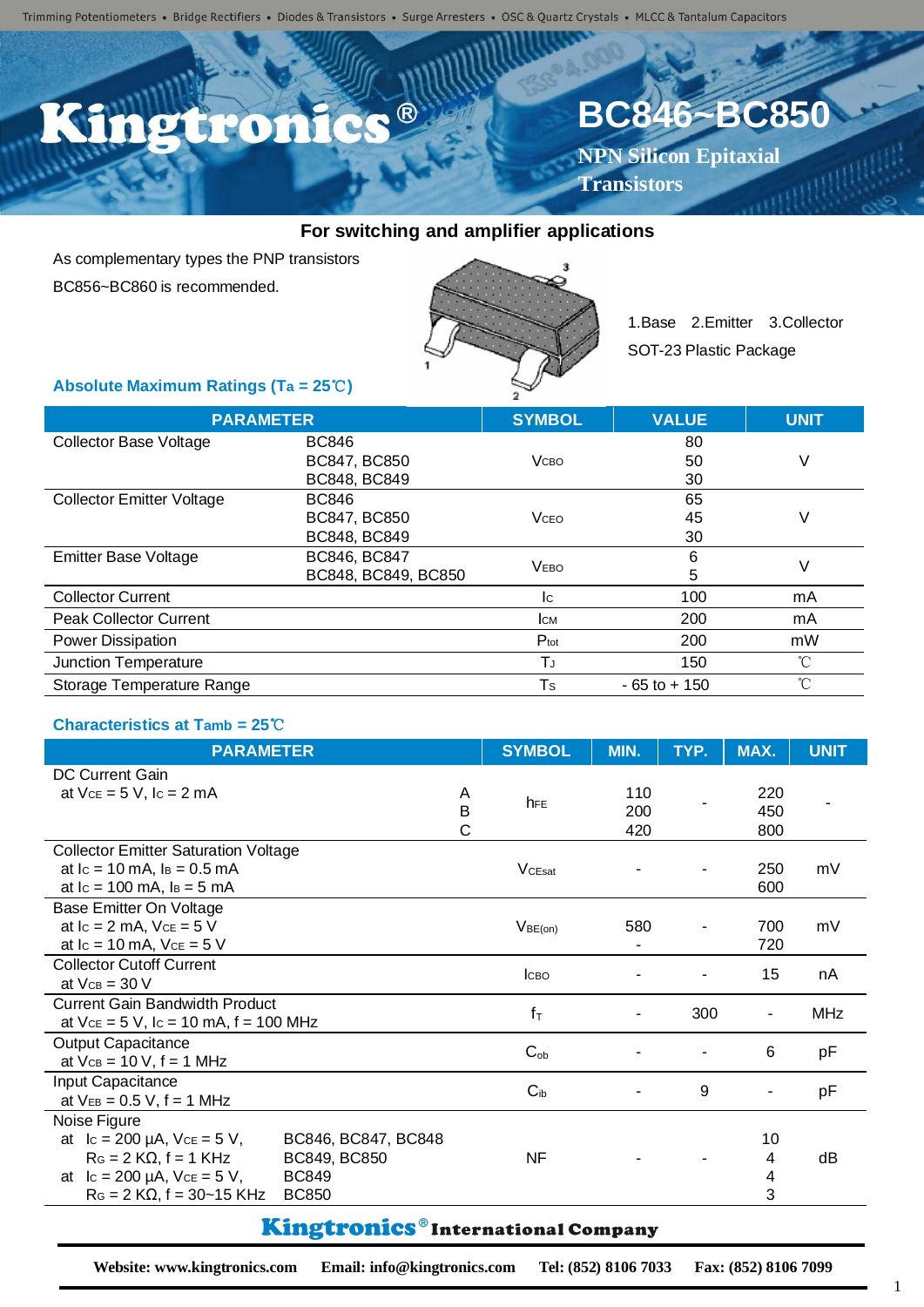Trimming Potentiometers • Bridge Rectifiers • Diodes & Transistors • Surge Arresters • OSC & Quartz Crystals • MLCC & Tantalum Capacitors

## C.C. ® D'Eren

# **BC846~BC850**

**NPN Silicon Epitaxial Transistors**

#### **For switching and amplifier applications**

As complementary types the PNP transistors BC856~BC860 is recommended.



1.Base 2.Emitter 3.Collector SOT-23 Plastic Package

#### **Absolute Maximum Ratings (Ta = 25**℃**)**

| <b>PARAMETER</b>                 |                     | <b>SYMBOL</b>    | <b>VALUE</b>    | <b>UNIT</b> |
|----------------------------------|---------------------|------------------|-----------------|-------------|
| <b>Collector Base Voltage</b>    | <b>BC846</b>        |                  | 80              |             |
|                                  | BC847, BC850        | <b>V</b> сво     | 50              | V           |
|                                  | BC848, BC849        |                  | 30              |             |
| <b>Collector Emitter Voltage</b> | <b>BC846</b>        |                  | 65              |             |
|                                  | BC847, BC850        | <b>V</b> CEO     | 45              | V           |
|                                  | BC848, BC849        |                  | 30              |             |
| <b>Emitter Base Voltage</b>      | BC846, BC847        | <b>VEBO</b>      | 6               | V           |
|                                  | BC848, BC849, BC850 |                  | 5               |             |
| <b>Collector Current</b>         |                     | Ic.              | 100             | mA          |
| <b>Peak Collector Current</b>    |                     | <b>CM</b>        | 200             | mA          |
| Power Dissipation                |                     | $P_{\text{tot}}$ | 200             | mW          |
| Junction Temperature             |                     | TJ               | 150             | °C          |
| Storage Temperature Range        |                     | Ts               | $-65$ to $+150$ | $^{\circ}C$ |

#### **Characteristics at Tamb = 25**℃

| <b>DC Current Gain</b><br>at $Vce = 5 V$ , $lc = 2 mA$<br>110<br>220<br>A<br>hFE<br>B<br>200<br>450<br>С<br>420<br>800<br><b>Collector Emitter Saturation Voltage</b><br>mV |
|-----------------------------------------------------------------------------------------------------------------------------------------------------------------------------|
|                                                                                                                                                                             |
|                                                                                                                                                                             |
|                                                                                                                                                                             |
|                                                                                                                                                                             |
|                                                                                                                                                                             |
| at $lc = 10$ mA, $ls = 0.5$ mA<br>V <sub>CEsat</sub><br>250                                                                                                                 |
| at $lc = 100$ mA, $ls = 5$ mA<br>600                                                                                                                                        |
| Base Emitter On Voltage                                                                                                                                                     |
| at $lc = 2$ mA, $Vce = 5$ V<br>580<br>mV<br>700<br>V <sub>BE(on)</sub>                                                                                                      |
| at $lc = 10$ mA, $Vce = 5$ V<br>720                                                                                                                                         |
| <b>Collector Cutoff Current</b><br>15<br>nA<br>Ісво                                                                                                                         |
| at $V_{CB} = 30 V$                                                                                                                                                          |
| <b>Current Gain Bandwidth Product</b><br>$f_T$<br>300<br><b>MHz</b><br>٠                                                                                                    |
| at $Vce = 5 V$ , $lc = 10$ mA, $f = 100$ MHz                                                                                                                                |
| <b>Output Capacitance</b><br>$C_{ob}$<br>6<br>рF                                                                                                                            |
| at $VCB = 10 V$ , $f = 1 MHz$                                                                                                                                               |
| Input Capacitance<br>$C_{ib}$<br>9<br>pF<br>۰                                                                                                                               |
| at $V_{EB} = 0.5 V$ , f = 1 MHz                                                                                                                                             |
| Noise Figure                                                                                                                                                                |
| at $lc = 200 \mu A$ , $Vce = 5 V$ ,<br>10<br>BC846, BC847, BC848                                                                                                            |
| $RG = 2 K\Omega$ , f = 1 KHz<br><b>NF</b><br>BC849, BC850<br>dB<br>4                                                                                                        |
| at $lc = 200 \mu A$ , $Vce = 5 V$ ,<br><b>BC849</b><br>4                                                                                                                    |
| $R_G = 2 K\Omega$ , f = 30~15 KHz<br>3<br><b>BC850</b>                                                                                                                      |

### Kingtronics®International Company

**Website: www.kingtronics.com Email: info@kingtronics.com Tel: (852) 8106 7033 Fax: (852) 8106 7099**

1